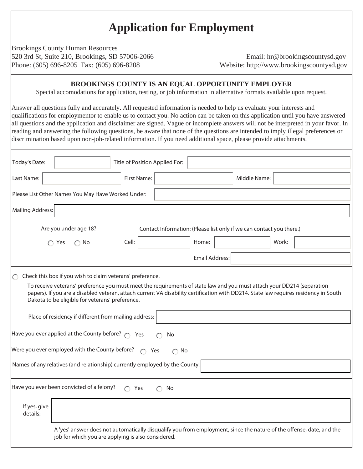# **Application for Employment**

Brookings County Human Resources 520 3rd St, Suite 210, Brookings, SD 57006-2066 Email: hr@brookingscountysd.gov Phone: (605) 696-8205 Fax: (605) 696-8208 Website: http://www.brookingscountysd.gov

## **BROOKINGS COUNTY IS AN EQUAL OPPORTUNITY EMPLOYER**

Special accomodations for application, testing, or job information in alternative formats available upon request.

Answer all questions fully and accurately. All requested information is needed to help us evaluate your interests and qualifications for employmentor to enable us to contact you. No action can be taken on this application until you have answered all questions and the application and disclaimer are signed. Vague or incomplete answers will not be interpreted in your favor. In reading and answering the following questions, be aware that none of the questions are intended to imply illegal preferences or discrimination based upon non-job-related information. If you need additional space, please provide attachments.

| Today's Date:                                                               |                                                                                                                                                                                                                                                                                                                                                                                                                                         | Title of Position Applied For: |                                                                      |              |       |  |
|-----------------------------------------------------------------------------|-----------------------------------------------------------------------------------------------------------------------------------------------------------------------------------------------------------------------------------------------------------------------------------------------------------------------------------------------------------------------------------------------------------------------------------------|--------------------------------|----------------------------------------------------------------------|--------------|-------|--|
| Last Name:                                                                  |                                                                                                                                                                                                                                                                                                                                                                                                                                         | First Name:                    |                                                                      | Middle Name: |       |  |
|                                                                             | Please List Other Names You May Have Worked Under:                                                                                                                                                                                                                                                                                                                                                                                      |                                |                                                                      |              |       |  |
| <b>Mailing Address:</b>                                                     |                                                                                                                                                                                                                                                                                                                                                                                                                                         |                                |                                                                      |              |       |  |
|                                                                             | Are you under age 18?                                                                                                                                                                                                                                                                                                                                                                                                                   |                                | Contact Information: (Please list only if we can contact you there.) |              |       |  |
|                                                                             | $\bigcap$ Yes<br>$\bigcap$ No                                                                                                                                                                                                                                                                                                                                                                                                           | Cell:                          | Home:                                                                |              | Work: |  |
|                                                                             |                                                                                                                                                                                                                                                                                                                                                                                                                                         |                                | <b>Email Address:</b>                                                |              |       |  |
| $\bigcirc$                                                                  | Check this box if you wish to claim veterans' preference.<br>To receive veterans' preference you must meet the requirements of state law and you must attach your DD214 (separation<br>papers). If you are a disabled veteran, attach current VA disability certification with DD214. State law requires residency in South<br>Dakota to be eligible for veterans' preference.<br>Place of residency if different from mailing address: |                                |                                                                      |              |       |  |
|                                                                             | Have you ever applied at the County before? $\bigcap$ Yes                                                                                                                                                                                                                                                                                                                                                                               | No                             |                                                                      |              |       |  |
|                                                                             | Were you ever employed with the County before? $\bigcap$ Yes                                                                                                                                                                                                                                                                                                                                                                            |                                | $\bigcap$ No                                                         |              |       |  |
| Names of any relatives (and relationship) currently employed by the County: |                                                                                                                                                                                                                                                                                                                                                                                                                                         |                                |                                                                      |              |       |  |
| Have you ever been convicted of a felony?<br>$\cap$ Yes<br>No               |                                                                                                                                                                                                                                                                                                                                                                                                                                         |                                |                                                                      |              |       |  |
| If yes, give<br>details:                                                    |                                                                                                                                                                                                                                                                                                                                                                                                                                         |                                |                                                                      |              |       |  |
|                                                                             | A 'yes' answer does not automatically disqualify you from employment, since the nature of the offense, date, and the<br>job for which you are applying is also considered.                                                                                                                                                                                                                                                              |                                |                                                                      |              |       |  |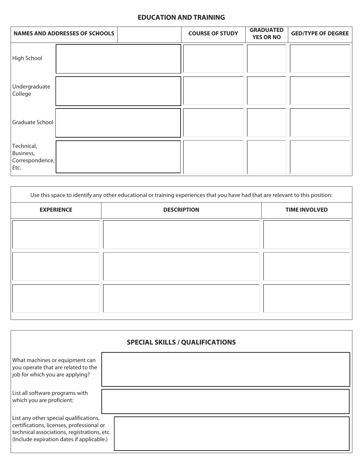## **EDUCATION AND TRAINING**

|                                                    | <b>NAMES AND ADDRESSES OF SCHOOLS</b> | <b>COURSE OF STUDY</b> | <b>GRADUATED</b><br><b>YES OR NO</b> | <b>GED/TYPE OF DEGREE</b> |
|----------------------------------------------------|---------------------------------------|------------------------|--------------------------------------|---------------------------|
| High School                                        |                                       |                        |                                      |                           |
| Undergraduate<br>College                           |                                       |                        |                                      |                           |
| Graduate School                                    |                                       |                        |                                      |                           |
| Technical,<br>Business,<br>Correspondence,<br>Etc. |                                       |                        |                                      |                           |

| <b>EXPERIENCE</b> | <b>DESCRIPTION</b> | <b>TIME INVOLVED</b> |
|-------------------|--------------------|----------------------|
|                   |                    |                      |
|                   |                    |                      |
|                   |                    |                      |
|                   |                    |                      |
|                   |                    |                      |
|                   |                    |                      |
|                   |                    |                      |
|                   |                    |                      |

| <b>SPECIAL SKILLS / QUALIFICATIONS</b>                                                                                                                                          |  |  |  |  |
|---------------------------------------------------------------------------------------------------------------------------------------------------------------------------------|--|--|--|--|
| What machines or equipment can<br>you operate that are related to the<br>job for which you are applying?                                                                        |  |  |  |  |
| List all software programs with<br>which you are proficient:                                                                                                                    |  |  |  |  |
| List any other special qualifications,<br>certifications, licenses, professional or<br>technical associations, registrations, etc.<br>(Include expiration dates if applicable.) |  |  |  |  |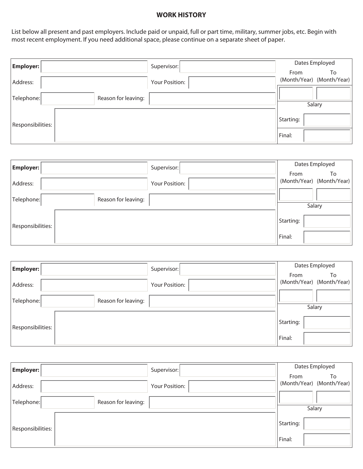### **WORK HISTORY**

List below all present and past employers. Include paid or unpaid, full or part time, military, summer jobs, etc. Begin with most recent employment. If you need additional space, please continue on a separate sheet of paper.

| $ $ Employer: $ $                 | Supervisor:    | Dates Employed                          |
|-----------------------------------|----------------|-----------------------------------------|
| Address:                          | Your Position: | From<br>To<br>(Month/Year) (Month/Year) |
| Reason for leaving:<br>Telephone: |                | Salary                                  |
| Responsibilities:                 |                | Starting:                               |
|                                   |                | Final:                                  |

| Employer:         | Supervisor:         |           | Dates Employed                  |
|-------------------|---------------------|-----------|---------------------------------|
| Address:          | Your Position:      | From      | To<br>(Month/Year) (Month/Year) |
| Telephone:        | Reason for leaving: |           |                                 |
|                   |                     |           | Salary                          |
| Responsibilities: |                     | Starting: |                                 |
|                   |                     | Final:    |                                 |

| $\vert$ Employer: $\vert$ | Supervisor:         |           | Dates Employed                  |
|---------------------------|---------------------|-----------|---------------------------------|
| Address:                  | Your Position:      | From      | To<br>(Month/Year) (Month/Year) |
| Telephone:                | Reason for leaving: |           |                                 |
|                           |                     |           | Salary                          |
| Responsibilities:         |                     | Starting: |                                 |
|                           |                     | Final:    |                                 |

| $ $ Employer: $ $ | Supervisor:         | Dates Employed |                                 |  |
|-------------------|---------------------|----------------|---------------------------------|--|
| Address:          | Your Position:      | From           | To<br>(Month/Year) (Month/Year) |  |
| Telephone:        | Reason for leaving: |                |                                 |  |
|                   |                     |                | Salary                          |  |
| Responsibilities: |                     | Starting:      |                                 |  |
|                   |                     | Final:         |                                 |  |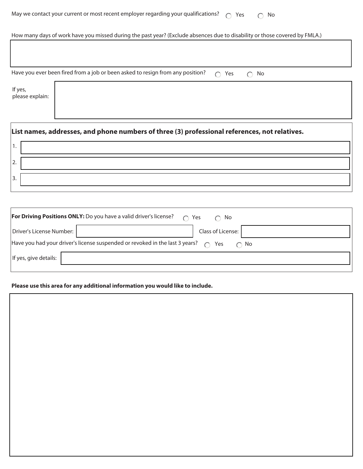| May we contact your current or most recent employer regarding your qualifications? $\bigcirc$ Yes $\bigcirc$ No |  |  |
|-----------------------------------------------------------------------------------------------------------------|--|--|
|-----------------------------------------------------------------------------------------------------------------|--|--|

How many days of work have you missed during the past year? (Exclude absences due to disability or those covered by FMLA.)

| Have you ever been fired from a job or been asked to resign from any position? $\bigcirc$ Yes $\bigcirc$ No |  |  |  |  |  |  |
|-------------------------------------------------------------------------------------------------------------|--|--|--|--|--|--|
|-------------------------------------------------------------------------------------------------------------|--|--|--|--|--|--|

If yes, please explain:

| List names, addresses, and phone numbers of three (3) professional references, not relatives. |  |  |  |  |  |
|-----------------------------------------------------------------------------------------------|--|--|--|--|--|
|                                                                                               |  |  |  |  |  |
| 2.                                                                                            |  |  |  |  |  |
| 3.                                                                                            |  |  |  |  |  |
|                                                                                               |  |  |  |  |  |

| <b>For Driving Positions ONLY:</b> Do you have a valid driver's license?<br>∩ Yes<br>$\cap$ No          |                   |  |  |  |
|---------------------------------------------------------------------------------------------------------|-------------------|--|--|--|
| Driver's License Number:                                                                                | Class of License: |  |  |  |
| Have you had your driver's license suspended or revoked in the last 3 years? $\bigcap$ Yes<br>$\cap$ No |                   |  |  |  |
| If yes, give details:                                                                                   |                   |  |  |  |
|                                                                                                         |                   |  |  |  |

## **Please use this area for any additional information you would like to include.**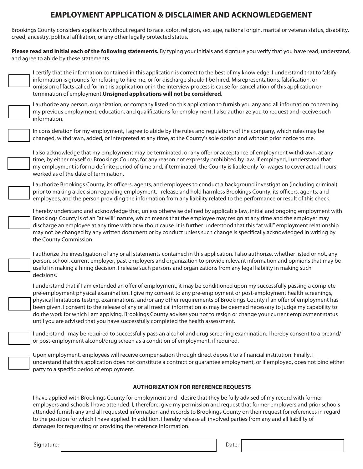# **EMPLOYMENT APPLICATION & DISCLAIMER AND ACKNOWLEDGEMENT**

Brookings County considers applicants without regard to race, color, religion, sex, age, national origin, marital or veteran status, disability, creed, ancestry, political affiliation, or any other legally protected status.

| Please read and initial each of the following statements. By typing your initials and signture you verify that you have read, understand,<br>and agree to abide by these statements.                                                                                                                                                                                                                                                                                                                                                                                                                                                                                                                                          |  |  |  |  |  |  |  |  |  |
|-------------------------------------------------------------------------------------------------------------------------------------------------------------------------------------------------------------------------------------------------------------------------------------------------------------------------------------------------------------------------------------------------------------------------------------------------------------------------------------------------------------------------------------------------------------------------------------------------------------------------------------------------------------------------------------------------------------------------------|--|--|--|--|--|--|--|--|--|
| I certify that the information contained in this application is correct to the best of my knowledge. I understand that to falsify<br>information is grounds for refusing to hire me, or for discharge should I be hired. Misrepresentations, falsification, or<br>omission of facts called for in this application or in the interview process is cause for cancellation of this application or<br>termination of employment. Unsigned applications will not be considered.                                                                                                                                                                                                                                                   |  |  |  |  |  |  |  |  |  |
| I authorize any person, organization, or company listed on this application to furnish you any and all information concerning<br>my previous employment, education, and qualifications for employment. I also authorize you to request and receive such<br>information.                                                                                                                                                                                                                                                                                                                                                                                                                                                       |  |  |  |  |  |  |  |  |  |
| In consideration for my employment, I agree to abide by the rules and regulations of the company, which rules may be<br>changed, withdrawn, added, or interpreted at any time, at the County's sole option and without prior notice to me.                                                                                                                                                                                                                                                                                                                                                                                                                                                                                    |  |  |  |  |  |  |  |  |  |
| I also acknowledge that my employment may be terminated, or any offer or acceptance of employment withdrawn, at any<br>time, by either myself or Brookings County, for any reason not expressly prohibited by law. If employed, I understand that<br>my employment is for no definite period of time and, if terminated, the County is liable only for wages to cover actual hours<br>worked as of the date of termination.                                                                                                                                                                                                                                                                                                   |  |  |  |  |  |  |  |  |  |
| I authorize Brookings County, its officers, agents, and employees to conduct a background investigation (including criminal)<br>prior to making a decision regarding employment. I release and hold harmless Brookings County, its officers, agents, and<br>employees, and the person providing the information from any liability related to the performance or result of this check.                                                                                                                                                                                                                                                                                                                                        |  |  |  |  |  |  |  |  |  |
| I hereby understand and acknowledge that, unless otherwise defined by applicable law, initial and ongoing employment with<br>Brookings County is of an "at will" nature, which means that the employee may resign at any time and the employer may<br>discharge an employee at any time with or without cause. It is further understood that this "at will" employment relationship<br>may not be changed by any written document or by conduct unless such change is specifically acknowledged in writing by<br>the County Commission.                                                                                                                                                                                       |  |  |  |  |  |  |  |  |  |
| I authorize the investigation of any or all statements contained in this application. I also authorize, whether listed or not, any<br>person, school, current employer, past employers and organization to provide relevant information and opinions that may be<br>useful in making a hiring decision. I release such persons and organizations from any legal liability in making such<br>decisions.                                                                                                                                                                                                                                                                                                                        |  |  |  |  |  |  |  |  |  |
| I understand that if I am extended an offer of employment, it may be conditioned upon my successfully passing a complete<br>pre-employment physical examination. I give my consent to any pre-employment or post-employment health screenings,<br>physical limitations testing, examinations, and/or any other requirements of Brookings County if an offer of employment has<br>been given. I consent to the release of any or all medical information as may be deemed necessary to judge my capability to<br>do the work for which I am applying. Brookings County advises you not to resign or change your current employment status<br>until you are advised that you have successfully completed the health assessment. |  |  |  |  |  |  |  |  |  |
| I understand I may be required to successfully pass an alcohol and drug screening examination. I hereby consent to a preand/<br>or post-employment alcohol/drug screen as a condition of employment, if required.                                                                                                                                                                                                                                                                                                                                                                                                                                                                                                             |  |  |  |  |  |  |  |  |  |
| Upon employment, employees will receive compensation through direct deposit to a financial institution. Finally, I<br>understand that this application does not constitute a contract or quarantee employment, or if employed, does not bind either<br>party to a specific period of employment.                                                                                                                                                                                                                                                                                                                                                                                                                              |  |  |  |  |  |  |  |  |  |
| <b>AUTHORIZATION FOR REFERENCE REQUESTS</b>                                                                                                                                                                                                                                                                                                                                                                                                                                                                                                                                                                                                                                                                                   |  |  |  |  |  |  |  |  |  |
| I have applied with Brookings County for employment and I desire that they be fully advised of my record with former<br>employers and schools I have attended. I, therefore, give my permission and request that former employers and prior schools<br>attended furnish any and all requested information and records to Brookings County on their request for references in regard<br>to the position for which I have applied. In addition, I hereby release all involved parties from any and all liability of                                                                                                                                                                                                             |  |  |  |  |  |  |  |  |  |

damages for requesting or providing the reference information.

Signature: Date: Date: Date: Date: Date: Date: Date: Date: Date: Date: Date: Date: Date: Date: Date: Date: Date: Date: Date: Date: Date: Date: Date: Date: Date: Date: Date: Date: Date: Date: Date: Date: Date: Date: Date: D